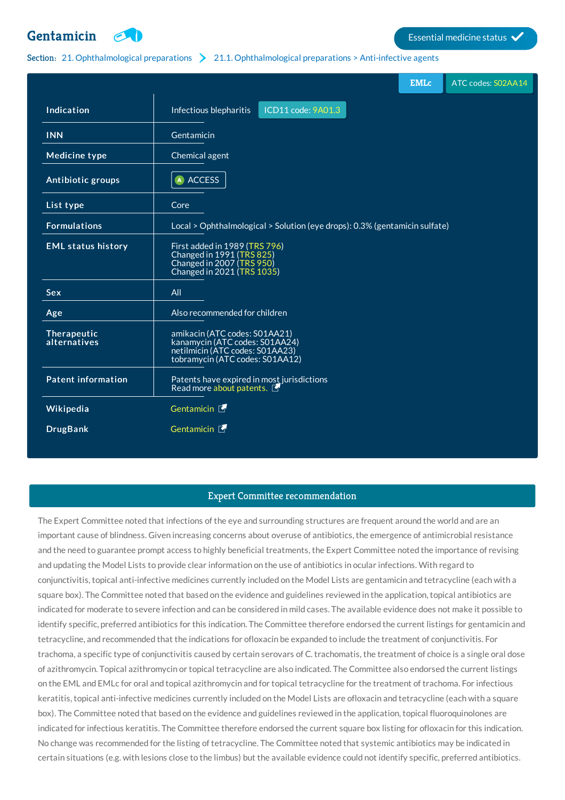# **[Gentamicin](http://list.essentialmeds.org/medicines/229) External medicine status**



## Section: 21. [Ophthalmological](http://list.essentialmeds.org/?section=440) preparations 21.1. Ophthalmological preparations > Anti-infective agents

|                             |                                                                                                                                       | <b>EMLc</b> | ATC codes: S02AA14 |
|-----------------------------|---------------------------------------------------------------------------------------------------------------------------------------|-------------|--------------------|
| Indication                  | ICD11 code: 9A01.3<br>Infectious blepharitis                                                                                          |             |                    |
| <b>INN</b>                  | Gentamicin                                                                                                                            |             |                    |
| <b>Medicine type</b>        | Chemical agent                                                                                                                        |             |                    |
| Antibiotic groups           | A ACCESS                                                                                                                              |             |                    |
| List type                   | Core                                                                                                                                  |             |                    |
| <b>Formulations</b>         | Local > Ophthalmological > Solution (eye drops): 0.3% (gentamicin sulfate)                                                            |             |                    |
| <b>EML status history</b>   | First added in 1989 (TRS 796)<br>Changed in 1991 (TRS 825)<br>Changed in 2007 (TRS 950)<br>Changed in 2021 (TRS 1035)                 |             |                    |
| <b>Sex</b>                  | All                                                                                                                                   |             |                    |
| Age                         | Also recommended for children                                                                                                         |             |                    |
| Therapeutic<br>alternatives | amikacin (ATC codes: S01AA21)<br>kanamycin (ATC codes: S01AA24)<br>netilmicin (ATC codes: S01AA23)<br>tobramycin (ATC codes: S01AA12) |             |                    |
| <b>Patent information</b>   | Patents have expired in most jurisdictions<br>Read more about patents.                                                                |             |                    |
| Wikipedia                   | Gentamicin F                                                                                                                          |             |                    |
| <b>DrugBank</b>             | Gentamicin E                                                                                                                          |             |                    |

# Expert Committee recommendation

The Expert Committee noted that infections of the eye and surrounding structures are frequent around the world and are an important cause of blindness. Given increasing concerns about overuse of antibiotics, the emergence of antimicrobial resistance and the need to guarantee prompt access to highly beneficial treatments, the Expert Committee noted the importance of revising and updating the Model Lists to provide clear information on the use of antibiotics in ocular infections. With regard to conjunctivitis, topical anti-infective medicines currently included on the Model Lists are gentamicin and tetracycline (each with a square box). The Committee noted that based on the evidence and guidelines reviewed in the application, topical antibiotics are indicated for moderate to severe infection and can be considered in mild cases. The available evidence does not make it possible to identify specific, preferred antibiotics for this indication. The Committee therefore endorsed the current listings for gentamicin and tetracycline, and recommended that the indications for ofloxacin be expanded to include the treatment of conjunctivitis. For trachoma, a specific type of conjunctivitis caused by certain serovars of C. trachomatis, the treatment of choice is a single oral dose of azithromycin. Topical azithromycin or topical tetracycline are also indicated. The Committee also endorsed the current listings on the EML and EMLc for oral and topical azithromycin and for topical tetracycline for the treatment of trachoma. For infectious keratitis, topical anti-infective medicines currently included on the Model Lists are ofloxacin and tetracycline (each with a square box). The Committee noted that based on the evidence and guidelines reviewed in the application, topical fluoroquinolones are indicated for infectious keratitis. The Committee therefore endorsed the current square box listing for ofloxacin for this indication. No change was recommended for the listing of tetracycline. The Committee noted that systemic antibiotics may be indicated in certain situations (e.g. with lesions close to the limbus) but the available evidence could not identify specific, preferred antibiotics.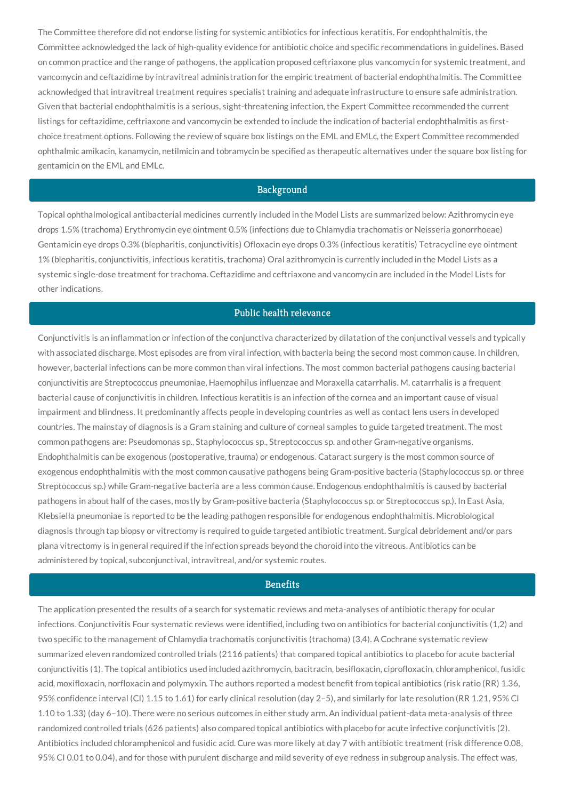The Committee therefore did not endorse listing for systemic antibiotics for infectious keratitis. For endophthalmitis, the Committee acknowledged the lack of high-quality evidence for antibiotic choice and specific recommendations in guidelines. Based on common practice and the range of pathogens, the application proposed ceftriaxone plus vancomycin for systemic treatment, and vancomycin and ceftazidime by intravitreal administration for the empiric treatment of bacterial endophthalmitis. The Committee acknowledged that intravitreal treatment requires specialist training and adequate infrastructure to ensure safe administration. Given that bacterial endophthalmitis is a serious, sight-threatening infection, the Expert Committee recommended the current listings for ceftazidime, ceftriaxone and vancomycin be extended to include the indication of bacterial endophthalmitis as firstchoice treatment options. Following the review of square box listings on the EML and EMLc, the Expert Committee recommended ophthalmic amikacin, kanamycin, netilmicin and tobramycin be specified as therapeutic alternatives under the square box listing for gentamicin on the EML and EMLc.

## Background

Topical ophthalmological antibacterial medicines currently included in the Model Lists are summarized below: Azithromycin eye drops 1.5% (trachoma) Erythromycin eye ointment 0.5% (infections due to Chlamydia trachomatis or Neisseria gonorrhoeae) Gentamicin eye drops 0.3% (blepharitis, conjunctivitis) Ofloxacin eye drops 0.3% (infectious keratitis) Tetracycline eye ointment 1% (blepharitis, conjunctivitis, infectious keratitis, trachoma) Oral azithromycin is currently included in the Model Lists as a systemic single-dose treatment for trachoma. Ceftazidime and ceftriaxone and vancomycin are included in the Model Lists for other indications.

## Public health relevance

Conjunctivitis is an inflammation or infection of the conjunctiva characterized by dilatation of the conjunctival vessels and typically with associated discharge. Most episodes are from viral infection, with bacteria being the second most common cause. In children, however, bacterial infections can be more common than viral infections. The most common bacterial pathogens causing bacterial conjunctivitis are Streptococcus pneumoniae, Haemophilus influenzae and Moraxella catarrhalis. M. catarrhalis is a frequent bacterial cause of conjunctivitis in children. Infectious keratitis is an infection of the cornea and an important cause of visual impairment and blindness. It predominantly affects people in developing countries as well as contact lens users in developed countries. The mainstay of diagnosis is a Gram staining and culture of corneal samples to guide targeted treatment. The most common pathogens are: Pseudomonas sp., Staphylococcus sp., Streptococcus sp. and other Gram-negative organisms. Endophthalmitis can be exogenous (postoperative, trauma) or endogenous. Cataract surgery is the most common source of exogenous endophthalmitis with the most common causative pathogens being Gram-positive bacteria (Staphylococcus sp. or three Streptococcus sp.) while Gram-negative bacteria are a less common cause. Endogenous endophthalmitis is caused by bacterial pathogens in about half of the cases, mostly by Gram-positive bacteria (Staphylococcus sp. or Streptococcus sp.). In East Asia, Klebsiella pneumoniae is reported to be the leading pathogen responsible for endogenous endophthalmitis. Microbiological diagnosis through tap biopsy or vitrectomy is required to guide targeted antibiotic treatment. Surgical debridement and/or pars plana vitrectomy is in general required if the infection spreads beyond the choroid into the vitreous. Antibiotics can be administered by topical, subconjunctival, intravitreal, and/or systemic routes.

#### **Benefits**

The application presented the results of a search for systematic reviews and meta-analyses of antibiotic therapy for ocular infections. Conjunctivitis Four systematic reviews were identified, including two on antibiotics for bacterial conjunctivitis (1,2) and two specific to the management of Chlamydia trachomatis conjunctivitis (trachoma) (3,4). A Cochrane systematic review summarized eleven randomized controlled trials (2116 patients) that compared topical antibiotics to placebo for acute bacterial conjunctivitis (1). The topical antibiotics used included azithromycin, bacitracin, besifloxacin, ciprofloxacin, chloramphenicol, fusidic acid, moxifloxacin, norfloxacin and polymyxin. The authors reported a modest benefit from topical antibiotics (risk ratio (RR) 1.36, 95% confidence interval (CI) 1.15 to 1.61) for early clinical resolution (day 2–5), and similarly for late resolution (RR 1.21, 95% CI 1.10 to 1.33) (day 6–10). There were no serious outcomes in either study arm. An individual patient-data meta-analysis of three randomized controlled trials (626 patients) also compared topical antibiotics with placebo for acute infective conjunctivitis (2). Antibiotics included chloramphenicol and fusidic acid. Cure was more likely at day 7 with antibiotic treatment (risk difference 0.08, 95% CI 0.01 to 0.04), and for those with purulent discharge and mild severity of eye redness in subgroup analysis. The effect was,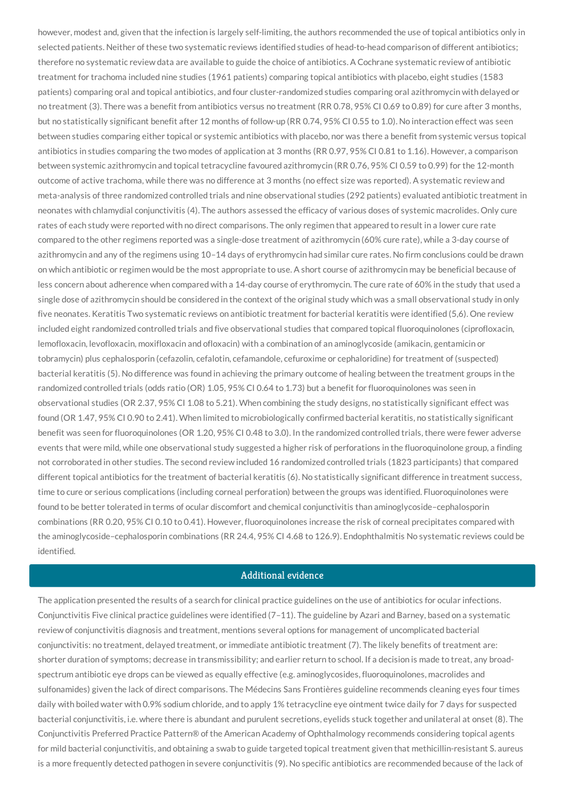however, modest and, given that the infection is largely self-limiting, the authors recommended the use of topical antibiotics only in selected patients. Neither of these two systematic reviews identified studies of head-to-head comparison of different antibiotics; therefore no systematic review data are available to guide the choice of antibiotics. A Cochrane systematic review of antibiotic treatment for trachoma included nine studies (1961 patients) comparing topical antibiotics with placebo, eight studies (1583 patients) comparing oral and topical antibiotics, and four cluster-randomized studies comparing oral azithromycin with delayed or no treatment (3). There was a benefit from antibiotics versus no treatment (RR 0.78, 95% CI 0.69 to 0.89) for cure after 3 months, but no statistically significant benefit after 12 months of follow-up (RR 0.74, 95% CI 0.55 to 1.0). No interaction effect was seen between studies comparing either topical or systemic antibiotics with placebo, nor was there a benefit from systemic versus topical antibiotics in studies comparing the two modes of application at 3 months (RR 0.97, 95% CI 0.81 to 1.16). However, a comparison between systemic azithromycin and topical tetracycline favoured azithromycin (RR 0.76, 95% CI 0.59 to 0.99) for the 12-month outcome of active trachoma, while there was no difference at 3 months (no effect size was reported). A systematic review and meta-analysis of three randomized controlled trials and nine observational studies (292 patients) evaluated antibiotic treatment in neonates with chlamydial conjunctivitis (4). The authors assessed the efficacy of various doses of systemic macrolides. Only cure rates of each study were reported with no direct comparisons. The only regimen that appeared to result in a lower cure rate compared to the other regimens reported was a single-dose treatment of azithromycin (60% cure rate), while a 3-day course of azithromycin and any of the regimens using 10–14 days of erythromycin had similar cure rates. No firm conclusions could be drawn on which antibiotic or regimen would be the most appropriate to use. A short course of azithromycin may be beneficial because of less concern about adherence when compared with a 14-day course of erythromycin. The cure rate of 60% in the study that used a single dose of azithromycin should be considered in the context of the original study which was a small observational study in only five neonates. Keratitis Two systematic reviews on antibiotic treatment for bacterial keratitis were identified (5,6). One review included eight randomized controlled trials and five observational studies that compared topical fluoroquinolones (ciprofloxacin, lemofloxacin, levofloxacin, moxifloxacin and ofloxacin) with a combination of an aminoglycoside (amikacin, gentamicin or tobramycin) plus cephalosporin (cefazolin, cefalotin, cefamandole, cefuroxime or cephaloridine) for treatment of (suspected) bacterial keratitis (5). No difference was found in achieving the primary outcome of healing between the treatment groups in the randomized controlled trials (odds ratio (OR) 1.05, 95% CI 0.64 to 1.73) but a benefit for fluoroquinolones was seen in observational studies (OR 2.37, 95% CI 1.08 to 5.21). When combining the study designs, no statistically significant effect was found (OR 1.47, 95% CI 0.90 to 2.41). When limited to microbiologically confirmed bacterial keratitis, no statistically significant benefit was seen for fluoroquinolones (OR 1.20, 95% CI 0.48 to 3.0). In the randomized controlled trials, there were fewer adverse events that were mild, while one observational study suggested a higher risk of perforations in the fluoroquinolone group, a finding not corroborated in other studies. The second review included 16 randomized controlled trials (1823 participants) that compared different topical antibiotics for the treatment of bacterial keratitis (6). No statistically significant difference in treatment success, time to cure or serious complications (including corneal perforation) between the groups was identified. Fluoroquinolones were found to be better tolerated in terms of ocular discomfort and chemical conjunctivitis than aminoglycoside–cephalosporin combinations (RR 0.20, 95% CI 0.10 to 0.41). However, fluoroquinolones increase the risk of corneal precipitates compared with the aminoglycoside–cephalosporin combinations (RR 24.4, 95% CI 4.68 to 126.9). Endophthalmitis No systematic reviews could be identified.

# Additional evidence

The application presented the results of a search for clinical practice guidelines on the use of antibiotics for ocular infections. Conjunctivitis Five clinical practice guidelines were identified (7–11). The guideline by Azari and Barney, based on a systematic review of conjunctivitis diagnosis and treatment, mentions several options for management of uncomplicated bacterial conjunctivitis: no treatment, delayed treatment, or immediate antibiotic treatment (7). The likely benefits of treatment are: shorter duration of symptoms; decrease in transmissibility; and earlier return to school. If a decision is made to treat, any broadspectrum antibiotic eye drops can be viewed as equally effective (e.g. aminoglycosides, fluoroquinolones, macrolides and sulfonamides) given the lack of direct comparisons. The Médecins Sans Frontières guideline recommends cleaning eyes four times daily with boiled water with 0.9% sodium chloride, and to apply 1% tetracycline eye ointment twice daily for 7 days for suspected bacterial conjunctivitis, i.e. where there is abundant and purulent secretions, eyelids stuck together and unilateral at onset (8). The Conjunctivitis Preferred Practice Pattern® of the American Academy of Ophthalmology recommends considering topical agents for mild bacterial conjunctivitis, and obtaining a swab to guide targeted topical treatment given that methicillin-resistant S. aureus is a more frequently detected pathogen in severe conjunctivitis (9). No specific antibiotics are recommended because of the lack of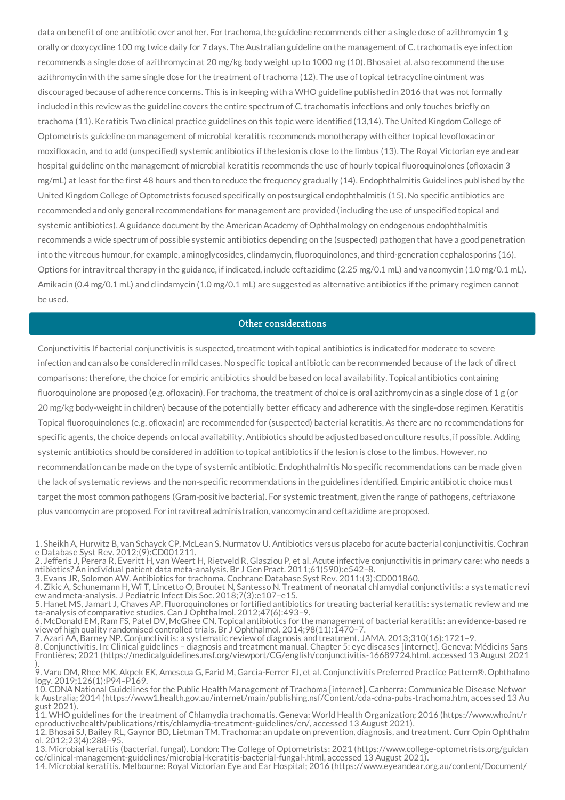data on benefit of one antibiotic over another. For trachoma, the guideline recommends either a single dose of azithromycin 1 g orally or doxycycline 100 mg twice daily for 7 days. The Australian guideline on the management of C. trachomatis eye infection recommends a single dose of azithromycin at 20 mg/kg body weight up to 1000 mg (10). Bhosai et al. also recommend the use azithromycin with the same single dose for the treatment of trachoma (12). The use of topical tetracycline ointment was discouraged because of adherence concerns. This is in keeping with a WHO guideline published in 2016 that was not formally included in this review as the guideline covers the entire spectrum of C. trachomatis infections and only touches briefly on trachoma (11). Keratitis Two clinical practice guidelines on this topic were identified (13,14). The United Kingdom College of Optometrists guideline on management of microbial keratitis recommends monotherapy with either topical levofloxacin or moxifloxacin, and to add (unspecified) systemic antibiotics if the lesion is close to the limbus (13). The Royal Victorian eye and ear hospital guideline on the management of microbial keratitis recommends the use of hourly topical fluoroquinolones (ofloxacin 3 mg/mL) at least for the first 48 hours and then to reduce the frequency gradually (14). Endophthalmitis Guidelines published by the United Kingdom College of Optometrists focused specifically on postsurgical endophthalmitis (15). No specific antibiotics are recommended and only general recommendations for management are provided (including the use of unspecified topical and systemic antibiotics). A guidance document by the American Academy of Ophthalmology on endogenous endophthalmitis recommends a wide spectrum of possible systemic antibiotics depending on the (suspected) pathogen that have a good penetration into the vitreous humour, for example, aminoglycosides, clindamycin, fluoroquinolones, and third-generation cephalosporins (16). Options for intravitreal therapy in the guidance, if indicated, include ceftazidime (2.25 mg/0.1 mL) and vancomycin (1.0 mg/0.1 mL). Amikacin (0.4 mg/0.1 mL) and clindamycin (1.0 mg/0.1 mL) are suggested as alternative antibiotics if the primary regimen cannot be used.

#### Other considerations

Conjunctivitis If bacterial conjunctivitis is suspected, treatment with topical antibiotics is indicated for moderate to severe infection and can also be considered in mild cases. No specific topical antibiotic can be recommended because of the lack of direct comparisons; therefore, the choice for empiric antibiotics should be based on local availability. Topical antibiotics containing fluoroquinolone are proposed (e.g. ofloxacin). For trachoma, the treatment of choice is oral azithromycin as a single dose of 1 g (or 20 mg/kg body-weight in children) because of the potentially better efficacy and adherence with the single-dose regimen. Keratitis Topical fluoroquinolones (e.g. ofloxacin) are recommended for (suspected) bacterial keratitis. As there are no recommendations for specific agents, the choice depends on local availability. Antibiotics should be adjusted based on culture results, if possible. Adding systemic antibiotics should be considered in addition to topical antibiotics if the lesion is close to the limbus. However, no recommendation can be made on the type of systemic antibiotic. Endophthalmitis No specific recommendations can be made given the lack of systematic reviews and the non-specific recommendations in the guidelines identified. Empiric antibiotic choice must target the most common pathogens (Gram-positive bacteria). For systemic treatment, given the range of pathogens, ceftriaxone plus vancomycin are proposed. For intravitreal administration, vancomycin and ceftazidime are proposed.

7. Azari AA, Barney NP. Conjunctivitis: a systematic review of diagnosis and treatment. JAMA. 2013;310(16):1721–9.

8. Conjunctivitis. In: Clinical guidelines – diagnosis and treatment manual. Chapter 5: eye diseases [internet]. Geneva: Médicins Sans Frontières; 2021 (https://medicalguidelines.msf.org/viewport/CG/english/conjunctivitis-16689724.html, accessed 13 August 2021 ).

<sup>1.</sup> Sheikh A, Hurwitz B, van Schayck CP, McLean S, Nurmatov U. Antibiotics versus placebo for acute bacterial conjunctivitis. Cochran e Database Syst Rev. 2012;(9):CD001211.

<sup>2.</sup> Jefferis J, Perera R, Everitt H, van Weert H, Rietveld R, Glasziou P, et al. Acute infective conjunctivitis in primary care: who needs a ntibiotics? An individual patient data meta-analysis. Br J Gen Pract. 2011;61(590):e542–8.

<sup>3.</sup> Evans JR, Solomon AW. Antibiotics for trachoma. Cochrane Database Syst Rev. 2011;(3):CD001860.

<sup>4.</sup> Zikic A, Schunemann H, Wi T, Lincetto O, Broutet N, Santesso N. Treatment of neonatal chlamydial conjunctivitis: a systematic revi ew and meta-analysis. J Pediatric Infect Dis Soc. 2018;7(3):e107–e15.

<sup>5.</sup> Hanet MS, Jamart J, Chaves AP. Fluoroquinolones or fortified antibiotics for treating bacterial keratitis: systematic review and me ta-analysis of comparative studies. Can J Ophthalmol. 2012;47(6):493–9.

<sup>6.</sup> McDonald EM, Ram FS, Patel DV, McGhee CN. Topical antibiotics for the management of bacterial keratitis: an evidence-based re view of high quality randomised controlled trials. Br J Ophthalmol. 2014;98(11):1470–7.

<sup>9.</sup> Varu DM, Rhee MK, Akpek EK, Amescua G, Farid M, Garcia-Ferrer FJ, et al. Conjunctivitis Preferred Practice Pattern®. Ophthalmo logy. 2019;126(1):P94–P169.

<sup>10.</sup> CDNA National Guidelines for the Public Health Management of Trachoma [internet]. Canberra: Communicable Disease Networ k Australia; 2014 (https://www1.health.gov.au/internet/main/publishing.nsf/Content/cda-cdna-pubs-trachoma.htm, accessed 13 Au gust 2021).

<sup>11.</sup> WHO guidelines for the treatment of Chlamydia trachomatis. Geneva: World Health Organization; 2016 (https://www.who.int/r eproductivehealth/publications/rtis/chlamydia-treatment-guidelines/en/, accessed 13 August 2021).

<sup>12.</sup> Bhosai SJ, Bailey RL, Gaynor BD, Lietman TM. Trachoma: an update on prevention, diagnosis, and treatment. Curr Opin Ophthalm ol. 2012;23(4):288–95.

<sup>13.</sup> Microbial keratitis (bacterial, fungal). London: The College of Optometrists; 2021 (https://www.college-optometrists.org/guidan ce/clinical-management-guidelines/microbial-keratitis-bacterial-fungal-.html, accessed 13 August 2021).

<sup>14.</sup> Microbial keratitis. Melbourne: Royal Victorian Eye and Ear Hospital; 2016 (https://www.eyeandear.org.au/content/Document/